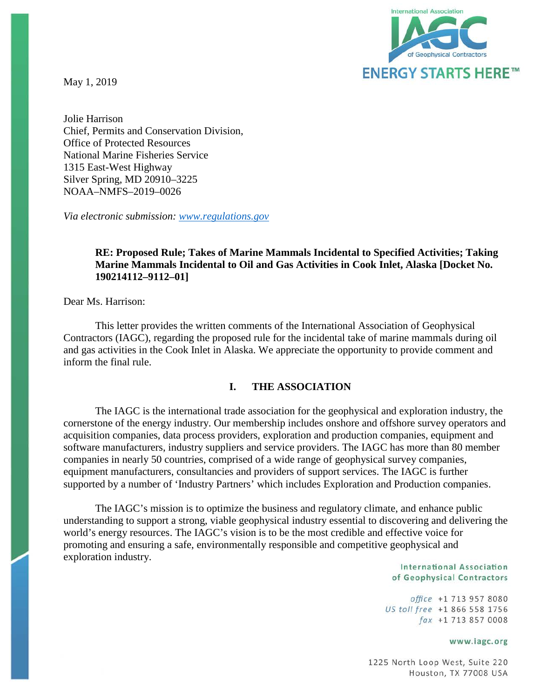May 1, 2019



Jolie Harrison Chief, Permits and Conservation Division, Office of Protected Resources National Marine Fisheries Service 1315 East-West Highway Silver Spring, MD 20910–3225 NOAA–NMFS–2019–0026

*Via electronic submission: [www.regulations.gov](http://www.regulations.gov/)*

## **RE: Proposed Rule; Takes of Marine Mammals Incidental to Specified Activities; Taking Marine Mammals Incidental to Oil and Gas Activities in Cook Inlet, Alaska [Docket No. 190214112–9112–01]**

Dear Ms. Harrison:

This letter provides the written comments of the International Association of Geophysical Contractors (IAGC), regarding the proposed rule for the incidental take of marine mammals during oil and gas activities in the Cook Inlet in Alaska. We appreciate the opportunity to provide comment and inform the final rule.

### **I. THE ASSOCIATION**

The IAGC is the international trade association for the geophysical and exploration industry, the cornerstone of the energy industry. Our membership includes onshore and offshore survey operators and acquisition companies, data process providers, exploration and production companies, equipment and software manufacturers, industry suppliers and service providers. The IAGC has more than 80 member companies in nearly 50 countries, comprised of a wide range of geophysical survey companies, equipment manufacturers, consultancies and providers of support services. The IAGC is further supported by a number of 'Industry Partners' which includes Exploration and Production companies.

The IAGC's mission is to optimize the business and regulatory climate, and enhance public understanding to support a strong, viable geophysical industry essential to discovering and delivering the world's energy resources. The IAGC's vision is to be the most credible and effective voice for promoting and ensuring a safe, environmentally responsible and competitive geophysical and exploration industry.

#### International Association of Geophysical Contractors

office +1 713 957 8080 US toll free +1 866 558 1756  $\int ax +1$  713 857 0008

#### www.iagc.org

1225 North Loop West, Suite 220 Houston, TX 77008 USA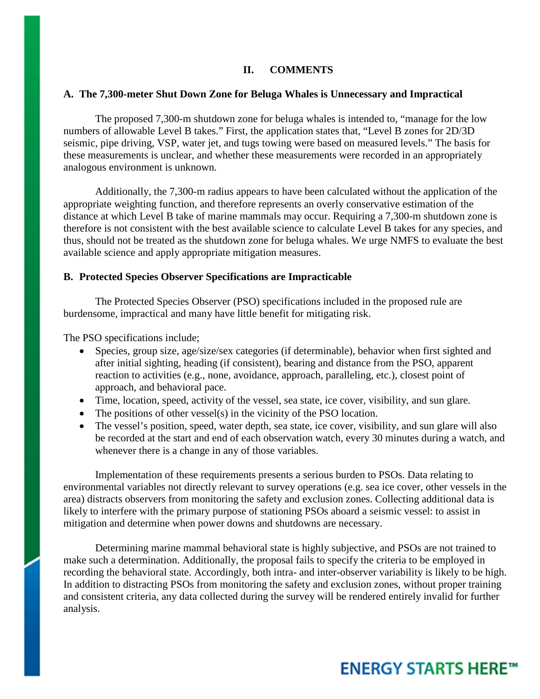### **II. COMMENTS**

### **A. The 7,300-meter Shut Down Zone for Beluga Whales is Unnecessary and Impractical**

The proposed 7,300-m shutdown zone for beluga whales is intended to, "manage for the low numbers of allowable Level B takes." First, the application states that, "Level B zones for 2D/3D seismic, pipe driving, VSP, water jet, and tugs towing were based on measured levels." The basis for these measurements is unclear, and whether these measurements were recorded in an appropriately analogous environment is unknown.

Additionally, the 7,300-m radius appears to have been calculated without the application of the appropriate weighting function, and therefore represents an overly conservative estimation of the distance at which Level B take of marine mammals may occur. Requiring a 7,300-m shutdown zone is therefore is not consistent with the best available science to calculate Level B takes for any species, and thus, should not be treated as the shutdown zone for beluga whales. We urge NMFS to evaluate the best available science and apply appropriate mitigation measures.

#### **B. Protected Species Observer Specifications are Impracticable**

The Protected Species Observer (PSO) specifications included in the proposed rule are burdensome, impractical and many have little benefit for mitigating risk.

The PSO specifications include;

- Species, group size, age/size/sex categories (if determinable), behavior when first sighted and after initial sighting, heading (if consistent), bearing and distance from the PSO, apparent reaction to activities (e.g., none, avoidance, approach, paralleling, etc.), closest point of approach, and behavioral pace.
- Time, location, speed, activity of the vessel, sea state, ice cover, visibility, and sun glare.
- The positions of other vessel(s) in the vicinity of the PSO location.
- The vessel's position, speed, water depth, sea state, ice cover, visibility, and sun glare will also be recorded at the start and end of each observation watch, every 30 minutes during a watch, and whenever there is a change in any of those variables.

Implementation of these requirements presents a serious burden to PSOs. Data relating to environmental variables not directly relevant to survey operations (e.g. sea ice cover, other vessels in the area) distracts observers from monitoring the safety and exclusion zones. Collecting additional data is likely to interfere with the primary purpose of stationing PSOs aboard a seismic vessel: to assist in mitigation and determine when power downs and shutdowns are necessary.

Determining marine mammal behavioral state is highly subjective, and PSOs are not trained to make such a determination. Additionally, the proposal fails to specify the criteria to be employed in recording the behavioral state. Accordingly, both intra- and inter-observer variability is likely to be high. In addition to distracting PSOs from monitoring the safety and exclusion zones, without proper training and consistent criteria, any data collected during the survey will be rendered entirely invalid for further analysis.

# **ENERGY STARTS HERE™**